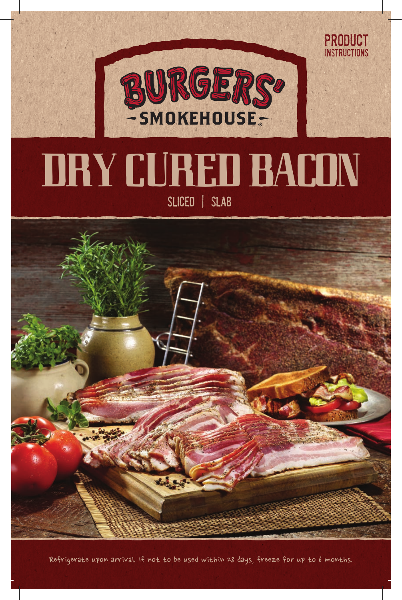

product **INSTRUCTIONS** 

## Dry Cured Bacon Sliced | Slab



Refrigerate upon arrival. If not to be used within 28 days, freeze for up to 6 months.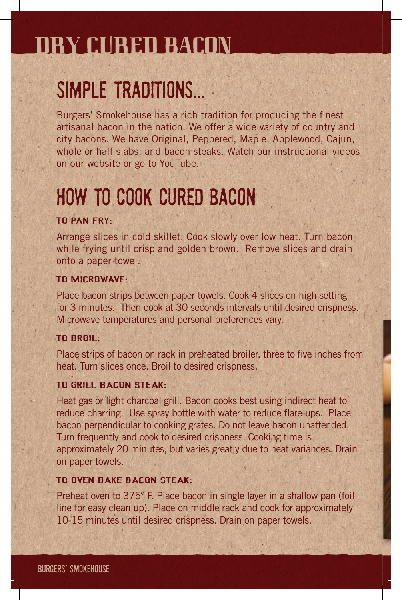### Dry Cured bacon

### SIMPLE TRADITIONS...

Burgers' Smokehouse has a rich tradition for producing the finest artisanal bacon in the nation. We offer a wide variety of country and city bacons. We have Original, Peppered, Maple, Applewood, Cajun, whole or half slabs, and bacon steaks. Watch our instructional videos on our website or go to YouTube.

### HOw to Cook Cured Bacon

#### To pan fry:

Arrange slices in cold skillet. Cook slowly over low heat. Turn bacon while frying until crisp and golden brown. Remove slices and drain onto a paper towel.

#### To Microwave:

Place bacon strips between paper towels. Cook 4 slices on high setting for 3 minutes. Then cook at 30 seconds intervals until desired crispness. Microwave temperatures and personal preferences vary.

#### To Broil:

Place strips of bacon on rack in preheated broiler, three to five inches from heat. Turn slices once. Broil to desired crispness.

#### To Grill Bacon Steak:

Heat gas or light charcoal grill. Bacon cooks best using indirect heat to reduce charring. Use spray bottle with water to reduce flare-ups. Place bacon perpendicular to cooking grates. Do not leave bacon unattended. Turn frequently and cook to desired crispness. Cooking time is approximately 20 minutes, but varies greatly due to heat variances. Drain on paper towels.

#### To Oven Bake Bacon Steak:

Preheat oven to 375° F. Place bacon in single layer in a shallow pan (foil line for easy clean up). Place on middle rack and cook for approximately 10-15 minutes until desired crispness. Drain on paper towels.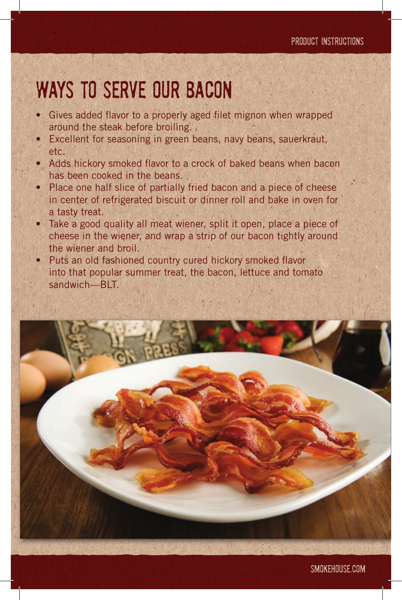### Ways to Serve our Bacon

- Gives added flavor to a properly aged filet mignon when wrapped around the steak before broiling.
- **Excellent for seasoning in green beans, navy beans, sauerkraut,** etc.
- Adds hickory smoked flavor to a crock of baked beans when bacon has been cooked in the beans.
- Place one half slice of partially fried bacon and a piece of cheese in center of refrigerated biscuit or dinner roll and bake in oven for a tasty treat.
- Take a good quality all meat wiener, split it open, place a piece of cheese in the wiener, and wrap a strip of our bacon tightly around the wiener and broil.
- Puts an old fashioned country cured hickory smoked flavor into that popular summer treat, the bacon, lettuce and tomato sandwich—BLT.